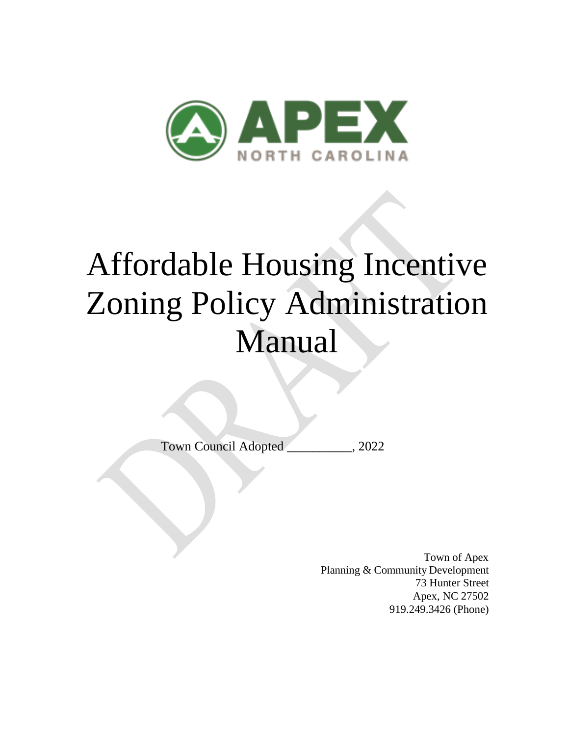

# Affordable Housing Incentive Zoning Policy Administration Manual

Town Council Adopted \_\_\_\_\_\_\_\_\_\_, 2022

Town of Apex Planning & Community Development 73 Hunter Street Apex, NC 27502 919.249.3426 (Phone)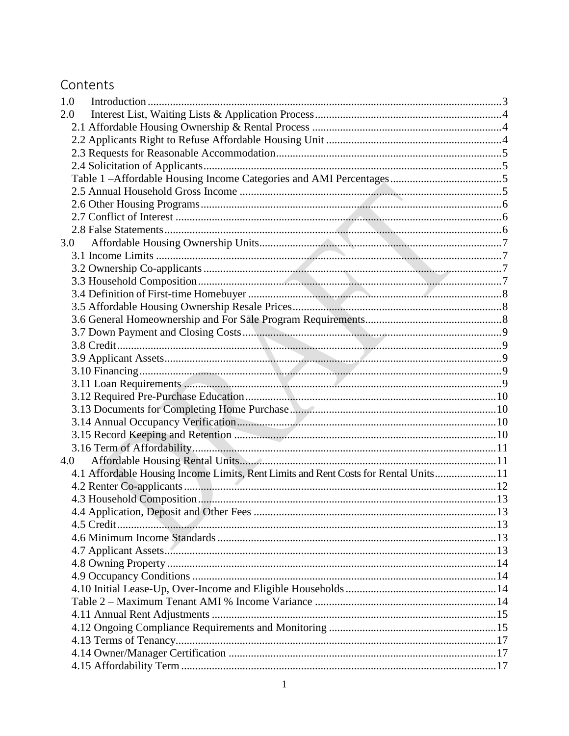# Contents

| 1.0 |                                                                                     |  |
|-----|-------------------------------------------------------------------------------------|--|
| 2.0 |                                                                                     |  |
|     |                                                                                     |  |
|     |                                                                                     |  |
|     |                                                                                     |  |
|     |                                                                                     |  |
|     |                                                                                     |  |
|     |                                                                                     |  |
|     |                                                                                     |  |
|     |                                                                                     |  |
|     |                                                                                     |  |
| 3.0 |                                                                                     |  |
|     |                                                                                     |  |
|     |                                                                                     |  |
|     |                                                                                     |  |
|     |                                                                                     |  |
|     |                                                                                     |  |
|     |                                                                                     |  |
|     |                                                                                     |  |
|     |                                                                                     |  |
|     |                                                                                     |  |
|     |                                                                                     |  |
|     |                                                                                     |  |
|     |                                                                                     |  |
|     |                                                                                     |  |
|     |                                                                                     |  |
|     |                                                                                     |  |
|     |                                                                                     |  |
| 4.0 |                                                                                     |  |
|     | 4.1 Affordable Housing Income Limits, Rent Limits and Rent Costs for Rental Units11 |  |
|     |                                                                                     |  |
|     |                                                                                     |  |
|     |                                                                                     |  |
|     |                                                                                     |  |
|     |                                                                                     |  |
|     |                                                                                     |  |
|     |                                                                                     |  |
|     |                                                                                     |  |
|     |                                                                                     |  |
|     |                                                                                     |  |
|     |                                                                                     |  |
|     |                                                                                     |  |
|     |                                                                                     |  |
|     |                                                                                     |  |
|     |                                                                                     |  |
|     |                                                                                     |  |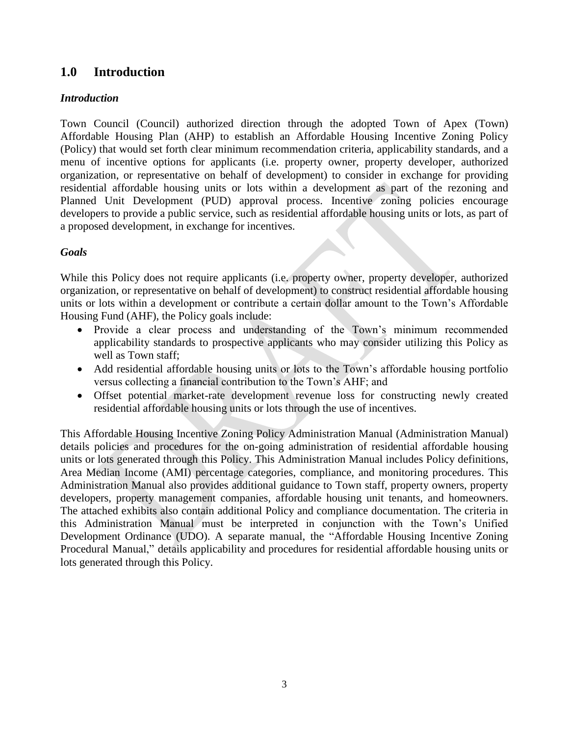# <span id="page-3-0"></span>**1.0 Introduction**

# *Introduction*

Town Council (Council) authorized direction through the adopted Town of Apex (Town) Affordable Housing Plan (AHP) to establish an Affordable Housing Incentive Zoning Policy (Policy) that would set forth clear minimum recommendation criteria, applicability standards, and a menu of incentive options for applicants (i.e. property owner, property developer, authorized organization, or representative on behalf of development) to consider in exchange for providing residential affordable housing units or lots within a development as part of the rezoning and Planned Unit Development (PUD) approval process. Incentive zoning policies encourage developers to provide a public service, such as residential affordable housing units or lots, as part of a proposed development, in exchange for incentives.

# *Goals*

While this Policy does not require applicants (i.e. property owner, property developer, authorized organization, or representative on behalf of development) to construct residential affordable housing units or lots within a development or contribute a certain dollar amount to the Town's Affordable Housing Fund (AHF), the Policy goals include:

- Provide a clear process and understanding of the Town's minimum recommended applicability standards to prospective applicants who may consider utilizing this Policy as well as Town staff;
- Add residential affordable housing units or lots to the Town's affordable housing portfolio versus collecting a financial contribution to the Town's AHF; and
- Offset potential market-rate development revenue loss for constructing newly created residential affordable housing units or lots through the use of incentives.

This Affordable Housing Incentive Zoning Policy Administration Manual (Administration Manual) details policies and procedures for the on-going administration of residential affordable housing units or lots generated through this Policy. This Administration Manual includes Policy definitions, Area Median Income (AMI) percentage categories, compliance, and monitoring procedures. This Administration Manual also provides additional guidance to Town staff, property owners, property developers, property management companies, affordable housing unit tenants, and homeowners. The attached exhibits also contain additional Policy and compliance documentation. The criteria in this Administration Manual must be interpreted in conjunction with the Town's Unified Development Ordinance (UDO). A separate manual, the "Affordable Housing Incentive Zoning Procedural Manual," details applicability and procedures for residential affordable housing units or lots generated through this Policy.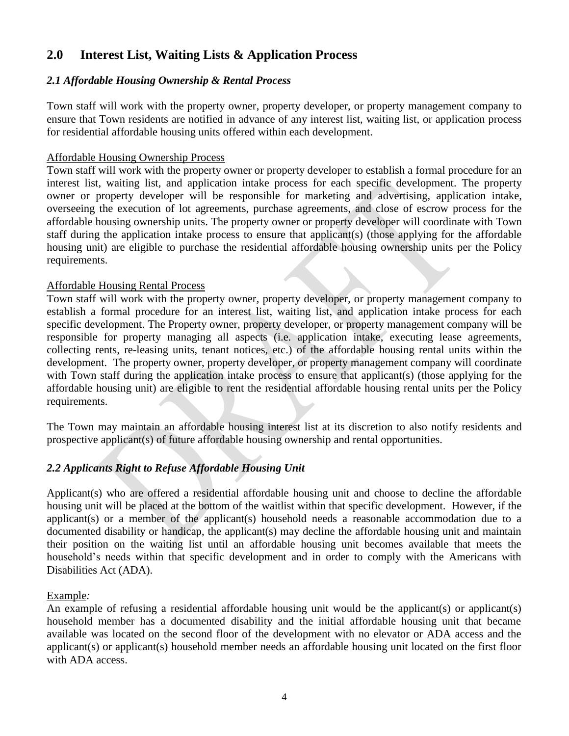# <span id="page-4-0"></span>**2.0 Interest List, Waiting Lists & Application Process**

#### <span id="page-4-1"></span>*2.1 Affordable Housing Ownership & Rental Process*

Town staff will work with the property owner, property developer, or property management company to ensure that Town residents are notified in advance of any interest list, waiting list, or application process for residential affordable housing units offered within each development.

#### Affordable Housing Ownership Process

Town staff will work with the property owner or property developer to establish a formal procedure for an interest list, waiting list, and application intake process for each specific development. The property owner or property developer will be responsible for marketing and advertising, application intake, overseeing the execution of lot agreements, purchase agreements, and close of escrow process for the affordable housing ownership units. The property owner or property developer will coordinate with Town staff during the application intake process to ensure that applicant(s) (those applying for the affordable housing unit) are eligible to purchase the residential affordable housing ownership units per the Policy requirements.

#### Affordable Housing Rental Process

Town staff will work with the property owner, property developer, or property management company to establish a formal procedure for an interest list, waiting list, and application intake process for each specific development. The Property owner, property developer, or property management company will be responsible for property managing all aspects (i.e. application intake, executing lease agreements, collecting rents, re-leasing units, tenant notices, etc.) of the affordable housing rental units within the development. The property owner, property developer, or property management company will coordinate with Town staff during the application intake process to ensure that applicant(s) (those applying for the affordable housing unit) are eligible to rent the residential affordable housing rental units per the Policy requirements.

The Town may maintain an affordable housing interest list at its discretion to also notify residents and prospective applicant(s) of future affordable housing ownership and rental opportunities.

# <span id="page-4-2"></span>*2.2 Applicants Right to Refuse Affordable Housing Unit*

Applicant(s) who are offered a residential affordable housing unit and choose to decline the affordable housing unit will be placed at the bottom of the waitlist within that specific development. However, if the applicant(s) or a member of the applicant(s) household needs a reasonable accommodation due to a documented disability or handicap, the applicant(s) may decline the affordable housing unit and maintain their position on the waiting list until an affordable housing unit becomes available that meets the household's needs within that specific development and in order to comply with the Americans with Disabilities Act (ADA).

#### Example*:*

An example of refusing a residential affordable housing unit would be the applicant(s) or applicant(s) household member has a documented disability and the initial affordable housing unit that became available was located on the second floor of the development with no elevator or ADA access and the applicant(s) or applicant(s) household member needs an affordable housing unit located on the first floor with ADA access.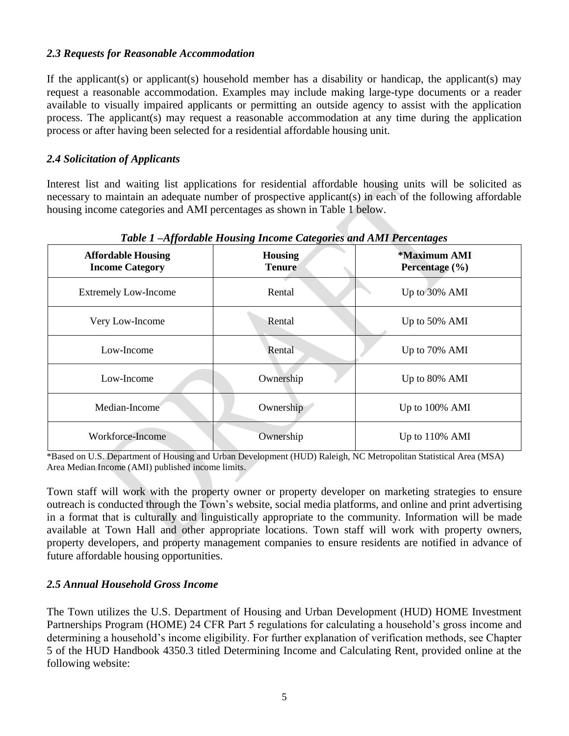#### <span id="page-5-0"></span>*2.3 Requests for Reasonable Accommodation*

If the applicant(s) or applicant(s) household member has a disability or handicap, the applicant(s) may request a reasonable accommodation. Examples may include making large-type documents or a reader available to visually impaired applicants or permitting an outside agency to assist with the application process. The applicant(s) may request a reasonable accommodation at any time during the application process or after having been selected for a residential affordable housing unit.

#### <span id="page-5-1"></span>*2.4 Solicitation of Applicants*

Interest list and waiting list applications for residential affordable housing units will be solicited as necessary to maintain an adequate number of prospective applicant(s) in each of the following affordable housing income categories and AMI percentages as shown in Table 1 below.

<span id="page-5-2"></span>

| Tubic T Afformable Housing Income Calegories and Amir I creeninges |                                 |                                    |  |  |  |  |  |
|--------------------------------------------------------------------|---------------------------------|------------------------------------|--|--|--|--|--|
| <b>Affordable Housing</b><br><b>Income Category</b>                | <b>Housing</b><br><b>Tenure</b> | *Maximum AMI<br>Percentage $(\% )$ |  |  |  |  |  |
| <b>Extremely Low-Income</b>                                        | Rental                          | Up to 30% AMI                      |  |  |  |  |  |
| Very Low-Income                                                    | Rental                          | Up to 50% AMI                      |  |  |  |  |  |
| Low-Income                                                         | Rental                          | Up to 70% AMI                      |  |  |  |  |  |
| Low-Income                                                         | Ownership                       | Up to 80% AMI                      |  |  |  |  |  |
| Median-Income                                                      | Ownership                       | Up to 100% AMI                     |  |  |  |  |  |
| Workforce-Income                                                   | Ownership                       | Up to $110\%$ AMI                  |  |  |  |  |  |

*Table 1 –Affordable Housing Income Categories and AMI Percentages*

\*Based on U.S. Department of Housing and Urban Development (HUD) Raleigh, NC Metropolitan Statistical Area (MSA) Area Median Income (AMI) published income limits.

Town staff will work with the property owner or property developer on marketing strategies to ensure outreach is conducted through the Town's website, social media platforms, and online and print advertising in a format that is culturally and linguistically appropriate to the community. Information will be made available at Town Hall and other appropriate locations. Town staff will work with property owners, property developers, and property management companies to ensure residents are notified in advance of future affordable housing opportunities.

# <span id="page-5-3"></span>*2.5 Annual Household Gross Income*

The Town utilizes the U.S. Department of Housing and Urban Development (HUD) HOME Investment Partnerships Program (HOME) 24 CFR Part 5 regulations for calculating a household's gross income and determining a household's income eligibility. For further explanation of verification methods, see Chapter 5 of the HUD Handbook 4350.3 titled Determining Income and Calculating Rent, provided online at the following website: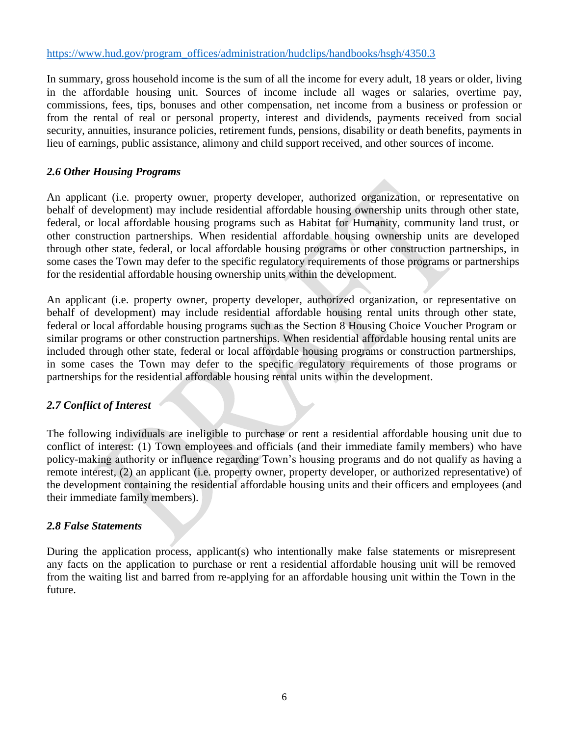#### [https://www.hud.gov/program\\_offices/administration/hudclips/handbooks/hsgh/4350.3](https://www.hud.gov/program_offices/administration/hudclips/handbooks/hsgh/4350.3)

In summary, gross household income is the sum of all the income for every adult, 18 years or older, living in the affordable housing unit. Sources of income include all wages or salaries, overtime pay, commissions, fees, tips, bonuses and other compensation, net income from a business or profession or from the rental of real or personal property, interest and dividends, payments received from social security, annuities, insurance policies, retirement funds, pensions, disability or death benefits, payments in lieu of earnings, public assistance, alimony and child support received, and other sources of income.

# <span id="page-6-0"></span>*2.6 Other Housing Programs*

An applicant (i.e. property owner, property developer, authorized organization, or representative on behalf of development) may include residential affordable housing ownership units through other state, federal, or local affordable housing programs such as Habitat for Humanity, community land trust, or other construction partnerships. When residential affordable housing ownership units are developed through other state, federal, or local affordable housing programs or other construction partnerships, in some cases the Town may defer to the specific regulatory requirements of those programs or partnerships for the residential affordable housing ownership units within the development.

An applicant (i.e. property owner, property developer, authorized organization, or representative on behalf of development) may include residential affordable housing rental units through other state, federal or local affordable housing programs such as the Section 8 Housing Choice Voucher Program or similar programs or other construction partnerships. When residential affordable housing rental units are included through other state, federal or local affordable housing programs or construction partnerships, in some cases the Town may defer to the specific regulatory requirements of those programs or partnerships for the residential affordable housing rental units within the development.

# <span id="page-6-1"></span>*2.7 Conflict of Interest*

The following individuals are ineligible to purchase or rent a residential affordable housing unit due to conflict of interest: (1) Town employees and officials (and their immediate family members) who have policy-making authority or influence regarding Town's housing programs and do not qualify as having a remote interest, (2) an applicant (i.e. property owner, property developer, or authorized representative) of the development containing the residential affordable housing units and their officers and employees (and their immediate family members).

# <span id="page-6-2"></span>*2.8 False Statements*

During the application process, applicant(s) who intentionally make false statements or misrepresent any facts on the application to purchase or rent a residential affordable housing unit will be removed from the waiting list and barred from re-applying for an affordable housing unit within the Town in the future.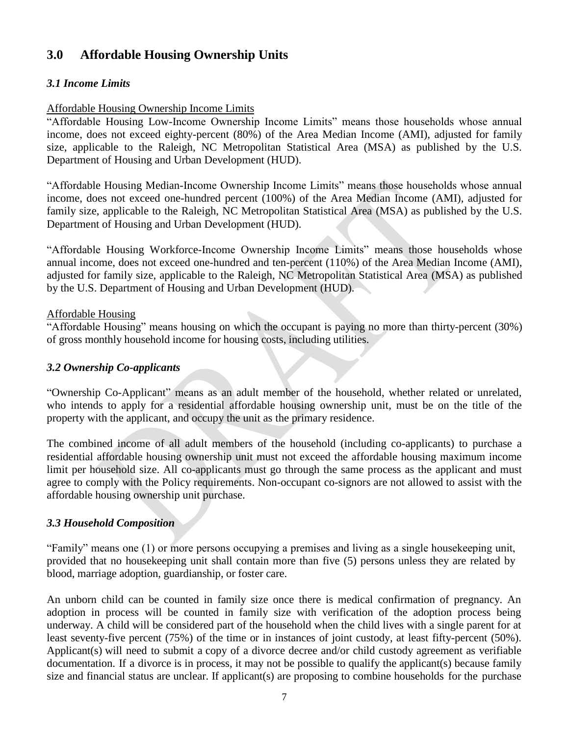# <span id="page-7-0"></span>**3.0 Affordable Housing Ownership Units**

# <span id="page-7-1"></span>*3.1 Income Limits*

#### Affordable Housing Ownership Income Limits

"Affordable Housing Low-Income Ownership Income Limits" means those households whose annual income, does not exceed eighty-percent (80%) of the Area Median Income (AMI), adjusted for family size, applicable to the Raleigh, NC Metropolitan Statistical Area (MSA) as published by the U.S. Department of Housing and Urban Development (HUD).

"Affordable Housing Median-Income Ownership Income Limits" means those households whose annual income, does not exceed one-hundred percent (100%) of the Area Median Income (AMI), adjusted for family size, applicable to the Raleigh, NC Metropolitan Statistical Area (MSA) as published by the U.S. Department of Housing and Urban Development (HUD).

"Affordable Housing Workforce-Income Ownership Income Limits" means those households whose annual income, does not exceed one-hundred and ten-percent (110%) of the Area Median Income (AMI), adjusted for family size, applicable to the Raleigh, NC Metropolitan Statistical Area (MSA) as published by the U.S. Department of Housing and Urban Development (HUD).

#### Affordable Housing

"Affordable Housing" means housing on which the occupant is paying no more than thirty-percent (30%) of gross monthly household income for housing costs, including utilities.

#### <span id="page-7-2"></span>*3.2 Ownership Co-applicants*

"Ownership Co-Applicant" means as an adult member of the household, whether related or unrelated, who intends to apply for a residential affordable housing ownership unit, must be on the title of the property with the applicant, and occupy the unit as the primary residence.

The combined income of all adult members of the household (including co-applicants) to purchase a residential affordable housing ownership unit must not exceed the affordable housing maximum income limit per household size. All co-applicants must go through the same process as the applicant and must agree to comply with the Policy requirements. Non-occupant co-signors are not allowed to assist with the affordable housing ownership unit purchase.

# <span id="page-7-3"></span>*3.3 Household Composition*

"Family" means one (1) or more persons occupying a premises and living as a single housekeeping unit, provided that no housekeeping unit shall contain more than five (5) persons unless they are related by blood, marriage adoption, guardianship, or foster care.

An unborn child can be counted in family size once there is medical confirmation of pregnancy. An adoption in process will be counted in family size with verification of the adoption process being underway. A child will be considered part of the household when the child lives with a single parent for at least seventy-five percent (75%) of the time or in instances of joint custody, at least fifty-percent (50%). Applicant(s) will need to submit a copy of a divorce decree and/or child custody agreement as verifiable documentation. If a divorce is in process, it may not be possible to qualify the applicant(s) because family size and financial status are unclear. If applicant(s) are proposing to combine households for the purchase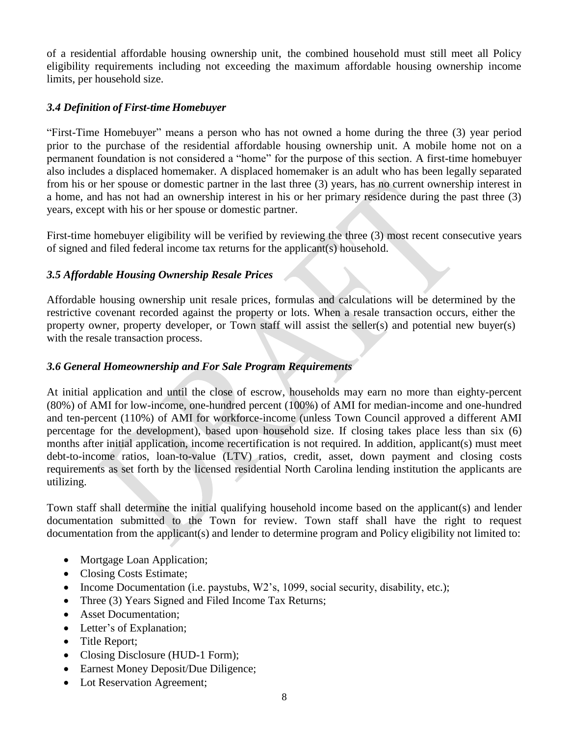of a residential affordable housing ownership unit, the combined household must still meet all Policy eligibility requirements including not exceeding the maximum affordable housing ownership income limits, per household size.

# <span id="page-8-0"></span>*3.4 Definition of First-time Homebuyer*

"First-Time Homebuyer" means a person who has not owned a home during the three (3) year period prior to the purchase of the residential affordable housing ownership unit. A mobile home not on a permanent foundation is not considered a "home" for the purpose of this section. A first-time homebuyer also includes a displaced homemaker. A displaced homemaker is an adult who has been legally separated from his or her spouse or domestic partner in the last three (3) years, has no current ownership interest in a home, and has not had an ownership interest in his or her primary residence during the past three (3) years, except with his or her spouse or domestic partner.

First-time homebuyer eligibility will be verified by reviewing the three (3) most recent consecutive years of signed and filed federal income tax returns for the applicant(s) household.

# <span id="page-8-1"></span>*3.5 Affordable Housing Ownership Resale Prices*

Affordable housing ownership unit resale prices, formulas and calculations will be determined by the restrictive covenant recorded against the property or lots. When a resale transaction occurs, either the property owner, property developer, or Town staff will assist the seller(s) and potential new buyer(s) with the resale transaction process.

# <span id="page-8-2"></span>*3.6 General Homeownership and For Sale Program Requirements*

At initial application and until the close of escrow, households may earn no more than eighty-percent (80%) of AMI for low-income, one-hundred percent (100%) of AMI for median-income and one-hundred and ten-percent (110%) of AMI for workforce-income (unless Town Council approved a different AMI percentage for the development), based upon household size. If closing takes place less than six (6) months after initial application, income recertification is not required. In addition, applicant(s) must meet debt-to-income ratios, loan-to-value (LTV) ratios, credit, asset, down payment and closing costs requirements as set forth by the licensed residential North Carolina lending institution the applicants are utilizing.

Town staff shall determine the initial qualifying household income based on the applicant(s) and lender documentation submitted to the Town for review. Town staff shall have the right to request documentation from the applicant(s) and lender to determine program and Policy eligibility not limited to:

- Mortgage Loan Application;
- Closing Costs Estimate;
- Income Documentation (i.e. paystubs, W2's, 1099, social security, disability, etc.);
- Three (3) Years Signed and Filed Income Tax Returns;
- Asset Documentation;
- Letter's of Explanation;
- Title Report;
- Closing Disclosure (HUD-1 Form);
- Earnest Money Deposit/Due Diligence;
- Lot Reservation Agreement;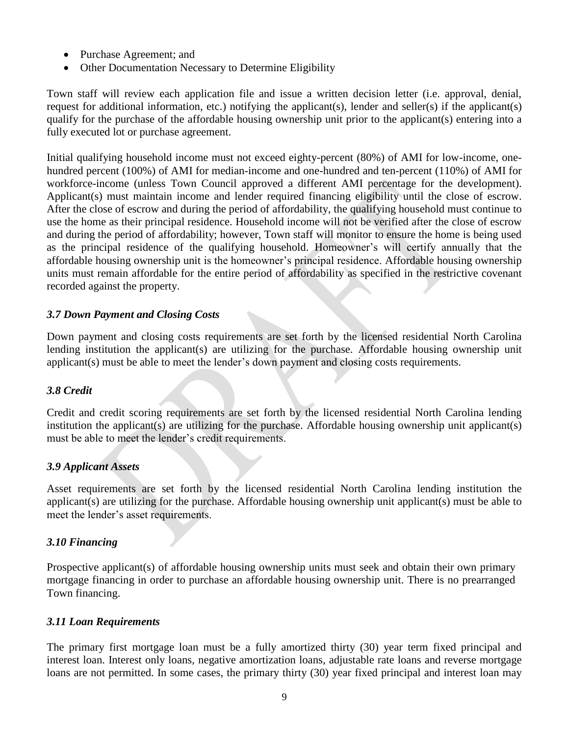- Purchase Agreement; and
- Other Documentation Necessary to Determine Eligibility

Town staff will review each application file and issue a written decision letter (i.e. approval, denial, request for additional information, etc.) notifying the applicant(s), lender and seller(s) if the applicant(s) qualify for the purchase of the affordable housing ownership unit prior to the applicant(s) entering into a fully executed lot or purchase agreement.

Initial qualifying household income must not exceed eighty-percent (80%) of AMI for low-income, onehundred percent (100%) of AMI for median-income and one-hundred and ten-percent (110%) of AMI for workforce-income (unless Town Council approved a different AMI percentage for the development). Applicant(s) must maintain income and lender required financing eligibility until the close of escrow. After the close of escrow and during the period of affordability, the qualifying household must continue to use the home as their principal residence. Household income will not be verified after the close of escrow and during the period of affordability; however, Town staff will monitor to ensure the home is being used as the principal residence of the qualifying household. Homeowner's will certify annually that the affordable housing ownership unit is the homeowner's principal residence. Affordable housing ownership units must remain affordable for the entire period of affordability as specified in the restrictive covenant recorded against the property.

#### <span id="page-9-0"></span>*3.7 Down Payment and Closing Costs*

Down payment and closing costs requirements are set forth by the licensed residential North Carolina lending institution the applicant(s) are utilizing for the purchase. Affordable housing ownership unit applicant(s) must be able to meet the lender's down payment and closing costs requirements.

#### <span id="page-9-1"></span>*3.8 Credit*

Credit and credit scoring requirements are set forth by the licensed residential North Carolina lending institution the applicant(s) are utilizing for the purchase. Affordable housing ownership unit applicant(s) must be able to meet the lender's credit requirements.

# <span id="page-9-2"></span>*3.9 Applicant Assets*

Asset requirements are set forth by the licensed residential North Carolina lending institution the applicant(s) are utilizing for the purchase. Affordable housing ownership unit applicant(s) must be able to meet the lender's asset requirements.

# <span id="page-9-3"></span>*3.10 Financing*

Prospective applicant(s) of affordable housing ownership units must seek and obtain their own primary mortgage financing in order to purchase an affordable housing ownership unit. There is no prearranged Town financing.

#### <span id="page-9-4"></span>*3.11 Loan Requirements*

The primary first mortgage loan must be a fully amortized thirty (30) year term fixed principal and interest loan. Interest only loans, negative amortization loans, adjustable rate loans and reverse mortgage loans are not permitted. In some cases, the primary thirty (30) year fixed principal and interest loan may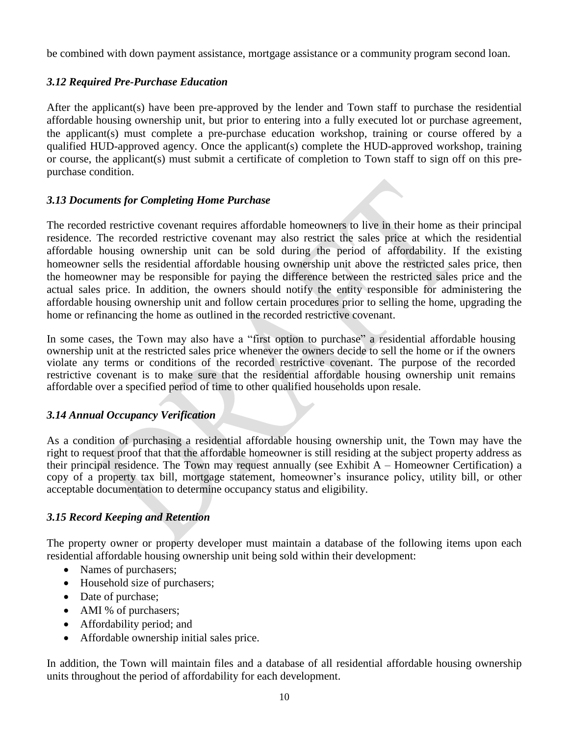be combined with down payment assistance, mortgage assistance or a community program second loan.

# <span id="page-10-0"></span>*3.12 Required Pre-Purchase Education*

After the applicant(s) have been pre-approved by the lender and Town staff to purchase the residential affordable housing ownership unit, but prior to entering into a fully executed lot or purchase agreement, the applicant(s) must complete a pre-purchase education workshop, training or course offered by a qualified HUD-approved agency. Once the applicant(s) complete the HUD-approved workshop, training or course, the applicant(s) must submit a certificate of completion to Town staff to sign off on this prepurchase condition.

# <span id="page-10-1"></span>*3.13 Documents for Completing Home Purchase*

The recorded restrictive covenant requires affordable homeowners to live in their home as their principal residence. The recorded restrictive covenant may also restrict the sales price at which the residential affordable housing ownership unit can be sold during the period of affordability. If the existing homeowner sells the residential affordable housing ownership unit above the restricted sales price, then the homeowner may be responsible for paying the difference between the restricted sales price and the actual sales price. In addition, the owners should notify the entity responsible for administering the affordable housing ownership unit and follow certain procedures prior to selling the home, upgrading the home or refinancing the home as outlined in the recorded restrictive covenant.

In some cases, the Town may also have a "first option to purchase" a residential affordable housing ownership unit at the restricted sales price whenever the owners decide to sell the home or if the owners violate any terms or conditions of the recorded restrictive covenant. The purpose of the recorded restrictive covenant is to make sure that the residential affordable housing ownership unit remains affordable over a specified period of time to other qualified households upon resale.

# <span id="page-10-2"></span>*3.14 Annual Occupancy Verification*

As a condition of purchasing a residential affordable housing ownership unit, the Town may have the right to request proof that that the affordable homeowner is still residing at the subject property address as their principal residence. The Town may request annually (see Exhibit  $A -$  Homeowner Certification) a copy of a property tax bill, mortgage statement, homeowner's insurance policy, utility bill, or other acceptable documentation to determine occupancy status and eligibility.

# <span id="page-10-3"></span>*3.15 Record Keeping and Retention*

The property owner or property developer must maintain a database of the following items upon each residential affordable housing ownership unit being sold within their development:

- Names of purchasers;
- Household size of purchasers;
- Date of purchase;
- AMI % of purchasers;
- Affordability period; and
- Affordable ownership initial sales price.

In addition, the Town will maintain files and a database of all residential affordable housing ownership units throughout the period of affordability for each development.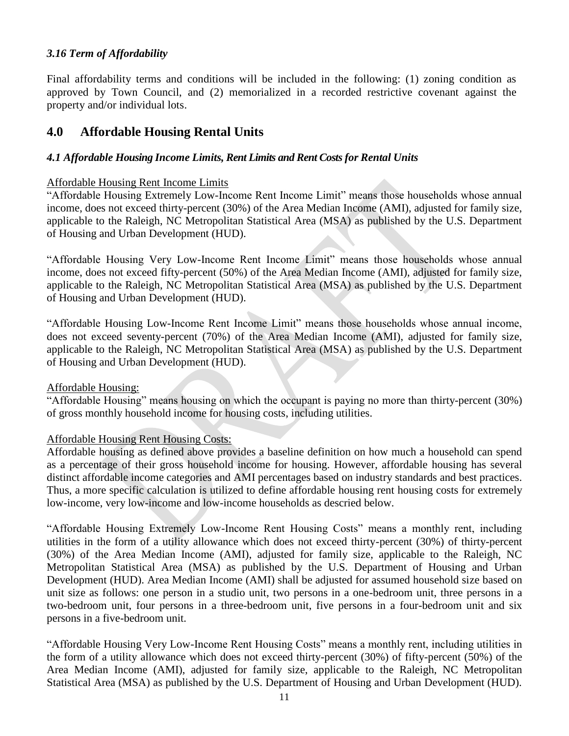# <span id="page-11-0"></span>*3.16 Term of Affordability*

Final affordability terms and conditions will be included in the following: (1) zoning condition as approved by Town Council, and (2) memorialized in a recorded restrictive covenant against the property and/or individual lots.

# <span id="page-11-1"></span>**4.0 Affordable Housing Rental Units**

#### <span id="page-11-2"></span>*4.1 Affordable Housing Income Limits, Rent Limits and Rent Costs for Rental Units*

#### Affordable Housing Rent Income Limits

"Affordable Housing Extremely Low-Income Rent Income Limit" means those households whose annual income, does not exceed thirty-percent (30%) of the Area Median Income (AMI), adjusted for family size, applicable to the Raleigh, NC Metropolitan Statistical Area (MSA) as published by the U.S. Department of Housing and Urban Development (HUD).

"Affordable Housing Very Low-Income Rent Income Limit" means those households whose annual income, does not exceed fifty-percent (50%) of the Area Median Income (AMI), adjusted for family size, applicable to the Raleigh, NC Metropolitan Statistical Area (MSA) as published by the U.S. Department of Housing and Urban Development (HUD).

"Affordable Housing Low-Income Rent Income Limit" means those households whose annual income, does not exceed seventy-percent (70%) of the Area Median Income (AMI), adjusted for family size, applicable to the Raleigh, NC Metropolitan Statistical Area (MSA) as published by the U.S. Department of Housing and Urban Development (HUD).

#### Affordable Housing:

"Affordable Housing" means housing on which the occupant is paying no more than thirty-percent (30%) of gross monthly household income for housing costs, including utilities.

#### Affordable Housing Rent Housing Costs:

Affordable housing as defined above provides a baseline definition on how much a household can spend as a percentage of their gross household income for housing. However, affordable housing has several distinct affordable income categories and AMI percentages based on industry standards and best practices. Thus, a more specific calculation is utilized to define affordable housing rent housing costs for extremely low-income, very low-income and low-income households as descried below.

"Affordable Housing Extremely Low-Income Rent Housing Costs" means a monthly rent, including utilities in the form of a utility allowance which does not exceed thirty-percent (30%) of thirty-percent (30%) of the Area Median Income (AMI), adjusted for family size, applicable to the Raleigh, NC Metropolitan Statistical Area (MSA) as published by the U.S. Department of Housing and Urban Development (HUD). Area Median Income (AMI) shall be adjusted for assumed household size based on unit size as follows: one person in a studio unit, two persons in a one-bedroom unit, three persons in a two-bedroom unit, four persons in a three-bedroom unit, five persons in a four-bedroom unit and six persons in a five-bedroom unit.

"Affordable Housing Very Low-Income Rent Housing Costs" means a monthly rent, including utilities in the form of a utility allowance which does not exceed thirty-percent (30%) of fifty-percent (50%) of the Area Median Income (AMI), adjusted for family size, applicable to the Raleigh, NC Metropolitan Statistical Area (MSA) as published by the U.S. Department of Housing and Urban Development (HUD).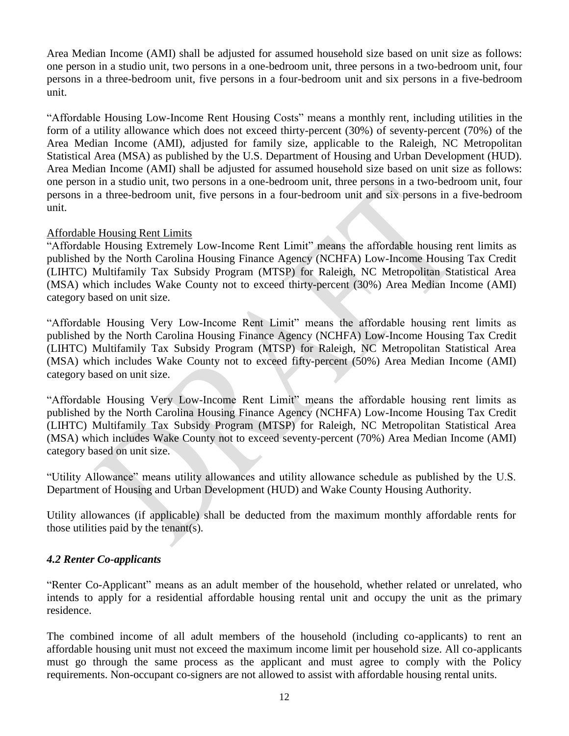Area Median Income (AMI) shall be adjusted for assumed household size based on unit size as follows: one person in a studio unit, two persons in a one-bedroom unit, three persons in a two-bedroom unit, four persons in a three-bedroom unit, five persons in a four-bedroom unit and six persons in a five-bedroom unit.

"Affordable Housing Low-Income Rent Housing Costs" means a monthly rent, including utilities in the form of a utility allowance which does not exceed thirty-percent (30%) of seventy-percent (70%) of the Area Median Income (AMI), adjusted for family size, applicable to the Raleigh, NC Metropolitan Statistical Area (MSA) as published by the U.S. Department of Housing and Urban Development (HUD). Area Median Income (AMI) shall be adjusted for assumed household size based on unit size as follows: one person in a studio unit, two persons in a one-bedroom unit, three persons in a two-bedroom unit, four persons in a three-bedroom unit, five persons in a four-bedroom unit and six persons in a five-bedroom unit.

#### Affordable Housing Rent Limits

"Affordable Housing Extremely Low-Income Rent Limit" means the affordable housing rent limits as published by the North Carolina Housing Finance Agency (NCHFA) Low-Income Housing Tax Credit (LIHTC) Multifamily Tax Subsidy Program (MTSP) for Raleigh, NC Metropolitan Statistical Area (MSA) which includes Wake County not to exceed thirty-percent (30%) Area Median Income (AMI) category based on unit size.

"Affordable Housing Very Low-Income Rent Limit" means the affordable housing rent limits as published by the North Carolina Housing Finance Agency (NCHFA) Low-Income Housing Tax Credit (LIHTC) Multifamily Tax Subsidy Program (MTSP) for Raleigh, NC Metropolitan Statistical Area (MSA) which includes Wake County not to exceed fifty-percent (50%) Area Median Income (AMI) category based on unit size.

"Affordable Housing Very Low-Income Rent Limit" means the affordable housing rent limits as published by the North Carolina Housing Finance Agency (NCHFA) Low-Income Housing Tax Credit (LIHTC) Multifamily Tax Subsidy Program (MTSP) for Raleigh, NC Metropolitan Statistical Area (MSA) which includes Wake County not to exceed seventy-percent (70%) Area Median Income (AMI) category based on unit size.

"Utility Allowance" means utility allowances and utility allowance schedule as published by the U.S. Department of Housing and Urban Development (HUD) and Wake County Housing Authority.

Utility allowances (if applicable) shall be deducted from the maximum monthly affordable rents for those utilities paid by the tenant(s).

# <span id="page-12-0"></span>*4.2 Renter Co-applicants*

"Renter Co-Applicant" means as an adult member of the household, whether related or unrelated, who intends to apply for a residential affordable housing rental unit and occupy the unit as the primary residence.

The combined income of all adult members of the household (including co-applicants) to rent an affordable housing unit must not exceed the maximum income limit per household size. All co-applicants must go through the same process as the applicant and must agree to comply with the Policy requirements. Non-occupant co-signers are not allowed to assist with affordable housing rental units.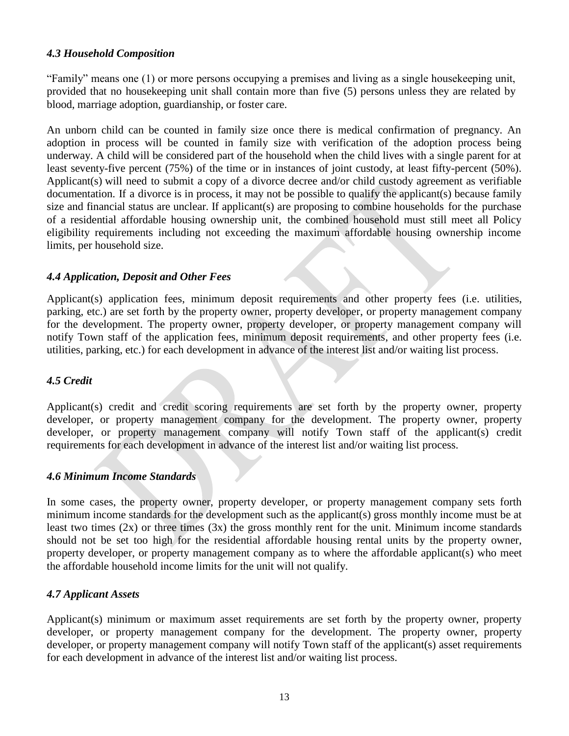#### <span id="page-13-0"></span>*4.3 Household Composition*

"Family" means one (1) or more persons occupying a premises and living as a single housekeeping unit, provided that no housekeeping unit shall contain more than five (5) persons unless they are related by blood, marriage adoption, guardianship, or foster care.

An unborn child can be counted in family size once there is medical confirmation of pregnancy. An adoption in process will be counted in family size with verification of the adoption process being underway. A child will be considered part of the household when the child lives with a single parent for at least seventy-five percent (75%) of the time or in instances of joint custody, at least fifty-percent (50%). Applicant(s) will need to submit a copy of a divorce decree and/or child custody agreement as verifiable documentation. If a divorce is in process, it may not be possible to qualify the applicant(s) because family size and financial status are unclear. If applicant(s) are proposing to combine households for the purchase of a residential affordable housing ownership unit, the combined household must still meet all Policy eligibility requirements including not exceeding the maximum affordable housing ownership income limits, per household size.

# <span id="page-13-1"></span>*4.4 Application, Deposit and Other Fees*

Applicant(s) application fees, minimum deposit requirements and other property fees (i.e. utilities, parking, etc.) are set forth by the property owner, property developer, or property management company for the development. The property owner, property developer, or property management company will notify Town staff of the application fees, minimum deposit requirements, and other property fees (i.e. utilities, parking, etc.) for each development in advance of the interest list and/or waiting list process.

#### <span id="page-13-2"></span>*4.5 Credit*

Applicant(s) credit and credit scoring requirements are set forth by the property owner, property developer, or property management company for the development. The property owner, property developer, or property management company will notify Town staff of the applicant(s) credit requirements for each development in advance of the interest list and/or waiting list process.

#### <span id="page-13-3"></span>*4.6 Minimum Income Standards*

In some cases, the property owner, property developer, or property management company sets forth minimum income standards for the development such as the applicant(s) gross monthly income must be at least two times (2x) or three times (3x) the gross monthly rent for the unit. Minimum income standards should not be set too high for the residential affordable housing rental units by the property owner, property developer, or property management company as to where the affordable applicant(s) who meet the affordable household income limits for the unit will not qualify.

# <span id="page-13-4"></span>*4.7 Applicant Assets*

Applicant(s) minimum or maximum asset requirements are set forth by the property owner, property developer, or property management company for the development. The property owner, property developer, or property management company will notify Town staff of the applicant(s) asset requirements for each development in advance of the interest list and/or waiting list process.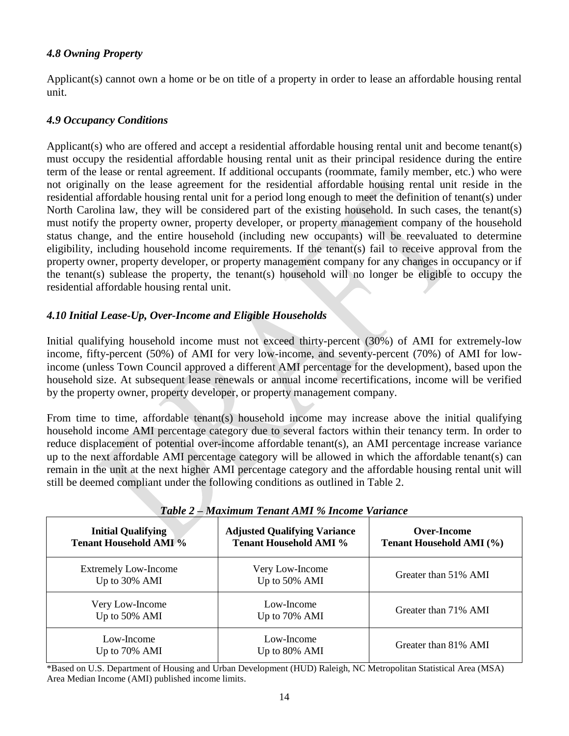#### <span id="page-14-0"></span>*4.8 Owning Property*

Applicant(s) cannot own a home or be on title of a property in order to lease an affordable housing rental unit.

#### <span id="page-14-1"></span>*4.9 Occupancy Conditions*

Applicant(s) who are offered and accept a residential affordable housing rental unit and become tenant(s) must occupy the residential affordable housing rental unit as their principal residence during the entire term of the lease or rental agreement. If additional occupants (roommate, family member, etc.) who were not originally on the lease agreement for the residential affordable housing rental unit reside in the residential affordable housing rental unit for a period long enough to meet the definition of tenant(s) under North Carolina law, they will be considered part of the existing household. In such cases, the tenant(s) must notify the property owner, property developer, or property management company of the household status change, and the entire household (including new occupants) will be reevaluated to determine eligibility, including household income requirements. If the tenant(s) fail to receive approval from the property owner, property developer, or property management company for any changes in occupancy or if the tenant(s) sublease the property, the tenant(s) household will no longer be eligible to occupy the residential affordable housing rental unit.

# <span id="page-14-2"></span>*4.10 Initial Lease-Up, Over-Income and Eligible Households*

Initial qualifying household income must not exceed thirty-percent (30%) of AMI for extremely-low income, fifty-percent (50%) of AMI for very low-income, and seventy-percent (70%) of AMI for lowincome (unless Town Council approved a different AMI percentage for the development), based upon the household size. At subsequent lease renewals or annual income recertifications, income will be verified by the property owner, property developer, or property management company.

From time to time, affordable tenant(s) household income may increase above the initial qualifying household income AMI percentage category due to several factors within their tenancy term. In order to reduce displacement of potential over-income affordable tenant(s), an AMI percentage increase variance up to the next affordable AMI percentage category will be allowed in which the affordable tenant(s) can remain in the unit at the next higher AMI percentage category and the affordable housing rental unit will still be deemed compliant under the following conditions as outlined in Table 2.

<span id="page-14-3"></span>

| 1 WU VU 2                                                  |                                                                      |                                         |  |  |  |  |  |
|------------------------------------------------------------|----------------------------------------------------------------------|-----------------------------------------|--|--|--|--|--|
| <b>Initial Qualifying</b><br><b>Tenant Household AMI %</b> | <b>Adjusted Qualifying Variance</b><br><b>Tenant Household AMI %</b> | Over-Income<br>Tenant Household AMI (%) |  |  |  |  |  |
| <b>Extremely Low-Income</b><br>Up to 30% AMI               | Very Low-Income<br>Up to 50% AMI                                     | Greater than 51% AMI                    |  |  |  |  |  |
| Very Low-Income<br>Up to 50% AMI                           | Low-Income<br>Up to 70% AMI                                          | Greater than 71% AMI                    |  |  |  |  |  |
| Low-Income<br>Up to 70% AMI                                | Low-Income<br>Up to 80% AMI                                          | Greater than 81% AMI                    |  |  |  |  |  |

*Table 2 – Maximum Tenant AMI % Income Variance*

\*Based on U.S. Department of Housing and Urban Development (HUD) Raleigh, NC Metropolitan Statistical Area (MSA) Area Median Income (AMI) published income limits.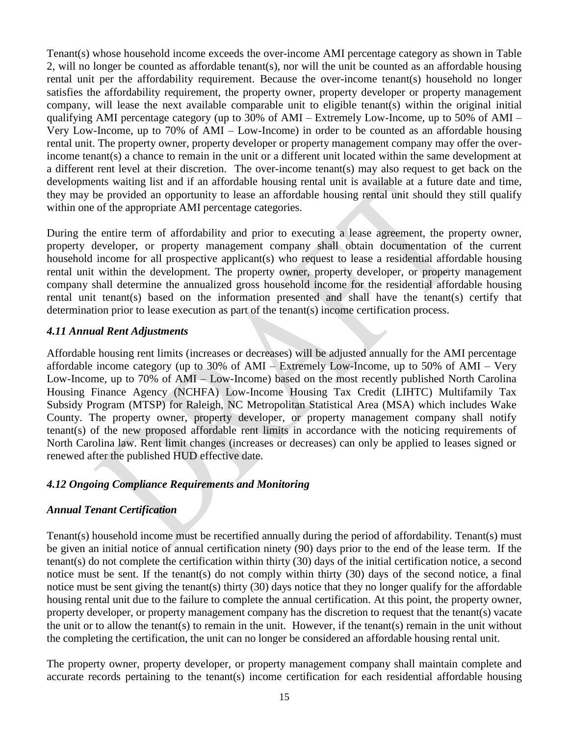Tenant(s) whose household income exceeds the over-income AMI percentage category as shown in Table 2, will no longer be counted as affordable tenant(s), nor will the unit be counted as an affordable housing rental unit per the affordability requirement. Because the over-income tenant(s) household no longer satisfies the affordability requirement, the property owner, property developer or property management company, will lease the next available comparable unit to eligible tenant(s) within the original initial qualifying AMI percentage category (up to 30% of AMI – Extremely Low-Income, up to 50% of AMI – Very Low-Income, up to 70% of AMI – Low-Income) in order to be counted as an affordable housing rental unit. The property owner, property developer or property management company may offer the overincome tenant(s) a chance to remain in the unit or a different unit located within the same development at a different rent level at their discretion. The over-income tenant(s) may also request to get back on the developments waiting list and if an affordable housing rental unit is available at a future date and time, they may be provided an opportunity to lease an affordable housing rental unit should they still qualify within one of the appropriate AMI percentage categories.

During the entire term of affordability and prior to executing a lease agreement, the property owner, property developer, or property management company shall obtain documentation of the current household income for all prospective applicant(s) who request to lease a residential affordable housing rental unit within the development. The property owner, property developer, or property management company shall determine the annualized gross household income for the residential affordable housing rental unit tenant(s) based on the information presented and shall have the tenant(s) certify that determination prior to lease execution as part of the tenant(s) income certification process.

# <span id="page-15-0"></span>*4.11 Annual Rent Adjustments*

Affordable housing rent limits (increases or decreases) will be adjusted annually for the AMI percentage affordable income category (up to 30% of AMI – Extremely Low-Income, up to 50% of AMI – Very Low-Income, up to 70% of AMI – Low-Income) based on the most recently published North Carolina Housing Finance Agency (NCHFA) Low-Income Housing Tax Credit (LIHTC) Multifamily Tax Subsidy Program (MTSP) for Raleigh, NC Metropolitan Statistical Area (MSA) which includes Wake County. The property owner, property developer, or property management company shall notify tenant(s) of the new proposed affordable rent limits in accordance with the noticing requirements of North Carolina law. Rent limit changes (increases or decreases) can only be applied to leases signed or renewed after the published HUD effective date.

# <span id="page-15-1"></span>*4.12 Ongoing Compliance Requirements and Monitoring*

# *Annual Tenant Certification*

Tenant(s) household income must be recertified annually during the period of affordability. Tenant(s) must be given an initial notice of annual certification ninety (90) days prior to the end of the lease term. If the tenant(s) do not complete the certification within thirty (30) days of the initial certification notice, a second notice must be sent. If the tenant(s) do not comply within thirty  $(30)$  days of the second notice, a final notice must be sent giving the tenant(s) thirty (30) days notice that they no longer qualify for the affordable housing rental unit due to the failure to complete the annual certification. At this point, the property owner, property developer, or property management company has the discretion to request that the tenant(s) vacate the unit or to allow the tenant(s) to remain in the unit. However, if the tenant(s) remain in the unit without the completing the certification, the unit can no longer be considered an affordable housing rental unit.

The property owner, property developer, or property management company shall maintain complete and accurate records pertaining to the tenant(s) income certification for each residential affordable housing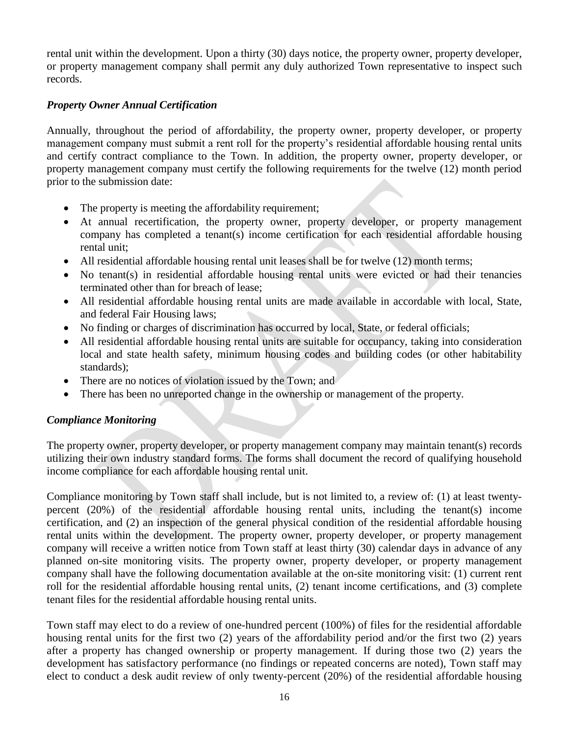rental unit within the development. Upon a thirty (30) days notice, the property owner, property developer, or property management company shall permit any duly authorized Town representative to inspect such records.

# *Property Owner Annual Certification*

Annually, throughout the period of affordability, the property owner, property developer, or property management company must submit a rent roll for the property's residential affordable housing rental units and certify contract compliance to the Town. In addition, the property owner, property developer, or property management company must certify the following requirements for the twelve (12) month period prior to the submission date:

- The property is meeting the affordability requirement;
- At annual recertification, the property owner, property developer, or property management company has completed a tenant(s) income certification for each residential affordable housing rental unit;
- All residential affordable housing rental unit leases shall be for twelve (12) month terms;
- No tenant(s) in residential affordable housing rental units were evicted or had their tenancies terminated other than for breach of lease;
- All residential affordable housing rental units are made available in accordable with local, State, and federal Fair Housing laws;
- No finding or charges of discrimination has occurred by local, State, or federal officials;
- All residential affordable housing rental units are suitable for occupancy, taking into consideration local and state health safety, minimum housing codes and building codes (or other habitability standards);
- There are no notices of violation issued by the Town; and
- There has been no unreported change in the ownership or management of the property.

# *Compliance Monitoring*

The property owner, property developer, or property management company may maintain tenant(s) records utilizing their own industry standard forms. The forms shall document the record of qualifying household income compliance for each affordable housing rental unit.

Compliance monitoring by Town staff shall include, but is not limited to, a review of: (1) at least twentypercent (20%) of the residential affordable housing rental units, including the tenant(s) income certification, and (2) an inspection of the general physical condition of the residential affordable housing rental units within the development. The property owner, property developer, or property management company will receive a written notice from Town staff at least thirty (30) calendar days in advance of any planned on-site monitoring visits. The property owner, property developer, or property management company shall have the following documentation available at the on-site monitoring visit: (1) current rent roll for the residential affordable housing rental units, (2) tenant income certifications, and (3) complete tenant files for the residential affordable housing rental units.

Town staff may elect to do a review of one-hundred percent (100%) of files for the residential affordable housing rental units for the first two (2) years of the affordability period and/or the first two (2) years after a property has changed ownership or property management. If during those two (2) years the development has satisfactory performance (no findings or repeated concerns are noted), Town staff may elect to conduct a desk audit review of only twenty-percent (20%) of the residential affordable housing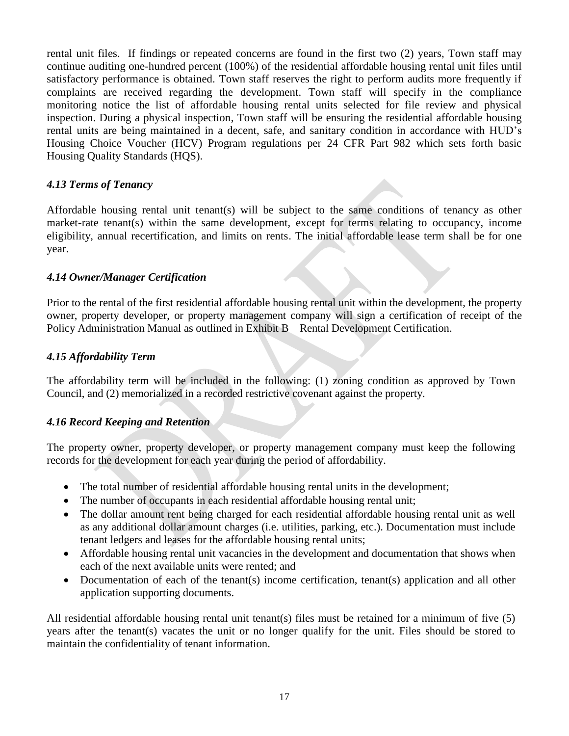rental unit files. If findings or repeated concerns are found in the first two (2) years, Town staff may continue auditing one-hundred percent (100%) of the residential affordable housing rental unit files until satisfactory performance is obtained. Town staff reserves the right to perform audits more frequently if complaints are received regarding the development. Town staff will specify in the compliance monitoring notice the list of affordable housing rental units selected for file review and physical inspection. During a physical inspection, Town staff will be ensuring the residential affordable housing rental units are being maintained in a decent, safe, and sanitary condition in accordance with HUD's Housing Choice Voucher (HCV) Program regulations per 24 CFR Part 982 which sets forth basic Housing Quality Standards (HQS).

# <span id="page-17-0"></span>*4.13 Terms of Tenancy*

Affordable housing rental unit tenant(s) will be subject to the same conditions of tenancy as other market-rate tenant(s) within the same development, except for terms relating to occupancy, income eligibility, annual recertification, and limits on rents. The initial affordable lease term shall be for one year.

#### <span id="page-17-1"></span>*4.14 Owner/Manager Certification*

Prior to the rental of the first residential affordable housing rental unit within the development, the property owner, property developer, or property management company will sign a certification of receipt of the Policy Administration Manual as outlined in Exhibit B – Rental Development Certification.

# <span id="page-17-2"></span>*4.15 Affordability Term*

The affordability term will be included in the following: (1) zoning condition as approved by Town Council, and (2) memorialized in a recorded restrictive covenant against the property.

#### <span id="page-17-3"></span>*4.16 Record Keeping and Retention*

The property owner, property developer, or property management company must keep the following records for the development for each year during the period of affordability.

- The total number of residential affordable housing rental units in the development;
- The number of occupants in each residential affordable housing rental unit;
- The dollar amount rent being charged for each residential affordable housing rental unit as well as any additional dollar amount charges (i.e. utilities, parking, etc.). Documentation must include tenant ledgers and leases for the affordable housing rental units;
- Affordable housing rental unit vacancies in the development and documentation that shows when each of the next available units were rented; and
- Documentation of each of the tenant(s) income certification, tenant(s) application and all other application supporting documents.

All residential affordable housing rental unit tenant(s) files must be retained for a minimum of five (5) years after the tenant(s) vacates the unit or no longer qualify for the unit. Files should be stored to maintain the confidentiality of tenant information.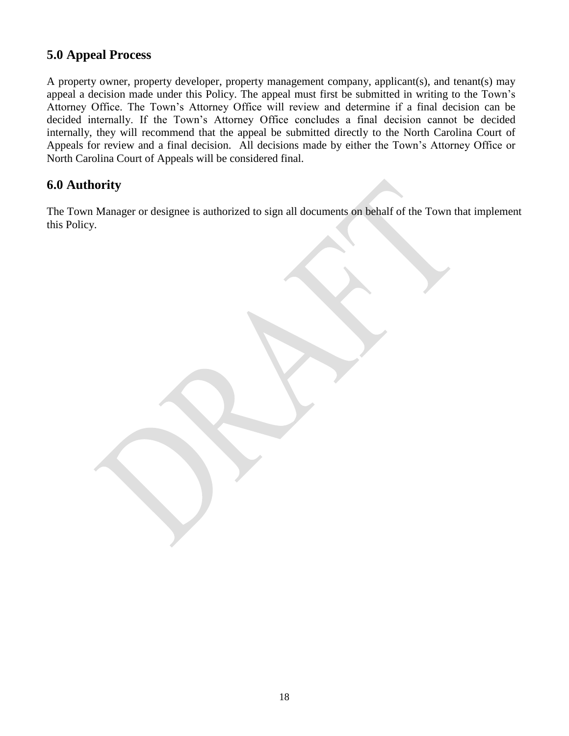# <span id="page-18-0"></span>**5.0 Appeal Process**

A property owner, property developer, property management company, applicant(s), and tenant(s) may appeal a decision made under this Policy. The appeal must first be submitted in writing to the Town's Attorney Office. The Town's Attorney Office will review and determine if a final decision can be decided internally. If the Town's Attorney Office concludes a final decision cannot be decided internally, they will recommend that the appeal be submitted directly to the North Carolina Court of Appeals for review and a final decision. All decisions made by either the Town's Attorney Office or North Carolina Court of Appeals will be considered final.

# <span id="page-18-1"></span>**6.0 Authority**

The Town Manager or designee is authorized to sign all documents on behalf of the Town that implement this Policy.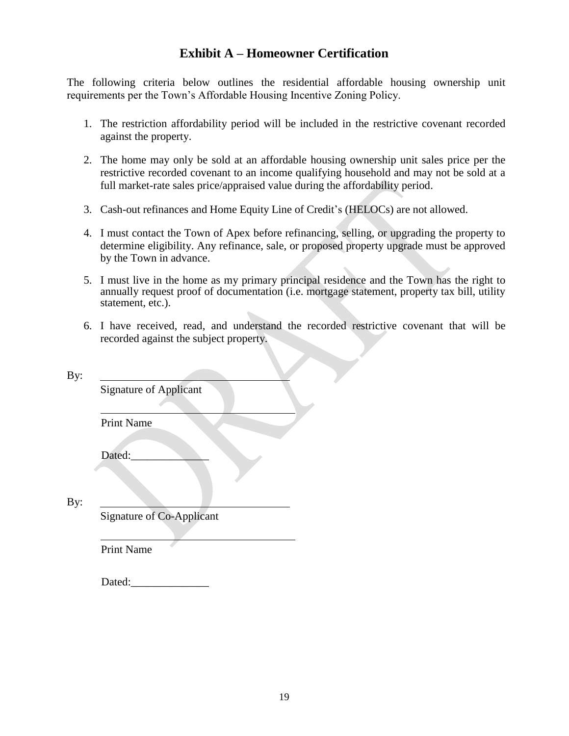# **Exhibit A – Homeowner Certification**

<span id="page-19-0"></span>The following criteria below outlines the residential affordable housing ownership unit requirements per the Town's Affordable Housing Incentive Zoning Policy.

- 1. The restriction affordability period will be included in the restrictive covenant recorded against the property.
- 2. The home may only be sold at an affordable housing ownership unit sales price per the restrictive recorded covenant to an income qualifying household and may not be sold at a full market-rate sales price/appraised value during the affordability period.
- 3. Cash-out refinances and Home Equity Line of Credit's (HELOCs) are not allowed.
- 4. I must contact the Town of Apex before refinancing, selling, or upgrading the property to determine eligibility. Any refinance, sale, or proposed property upgrade must be approved by the Town in advance.
- 5. I must live in the home as my primary principal residence and the Town has the right to annually request proof of documentation (i.e. mortgage statement, property tax bill, utility statement, etc.).
- 6. I have received, read, and understand the recorded restrictive covenant that will be recorded against the subject property.

| <b>Signature of Applicant</b> |                                  |  |
|-------------------------------|----------------------------------|--|
| <b>Print Name</b>             |                                  |  |
| Dated:                        |                                  |  |
|                               | <b>Signature of Co-Applicant</b> |  |
| <b>Print Name</b>             |                                  |  |

Dated:\_\_\_\_\_\_\_\_\_\_\_\_\_\_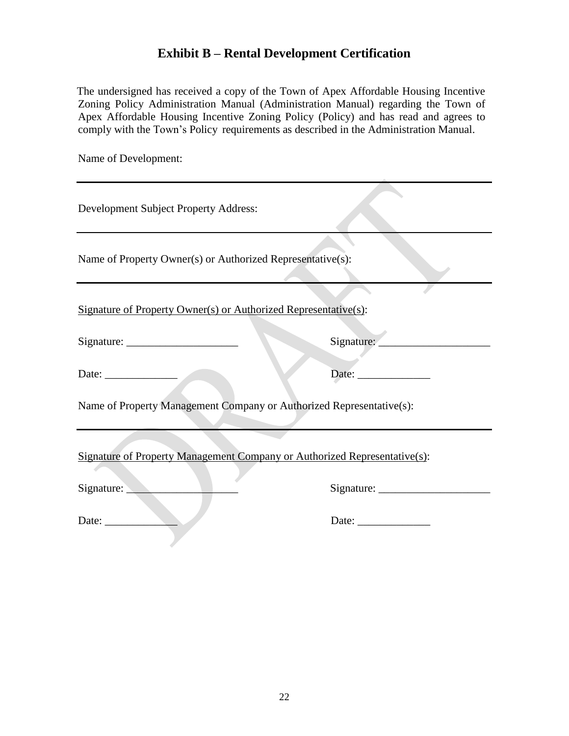# **Exhibit B – Rental Development Certification**

<span id="page-20-0"></span>The undersigned has received a copy of the Town of Apex Affordable Housing Incentive Zoning Policy Administration Manual (Administration Manual) regarding the Town of Apex Affordable Housing Incentive Zoning Policy (Policy) and has read and agrees to comply with the Town's Policy requirements as described in the Administration Manual.

Name of Development:

| Development Subject Property Address:                                     |            |  |  |  |
|---------------------------------------------------------------------------|------------|--|--|--|
| Name of Property Owner(s) or Authorized Representative(s):                |            |  |  |  |
| Signature of Property Owner(s) or Authorized Representative(s):           |            |  |  |  |
|                                                                           | Signature: |  |  |  |
| Date: $\qquad \qquad$                                                     |            |  |  |  |
| Name of Property Management Company or Authorized Representative(s):      |            |  |  |  |
| Signature of Property Management Company or Authorized Representative(s): |            |  |  |  |
| Signature:                                                                |            |  |  |  |
| Date: $\qquad \qquad$                                                     | Date:      |  |  |  |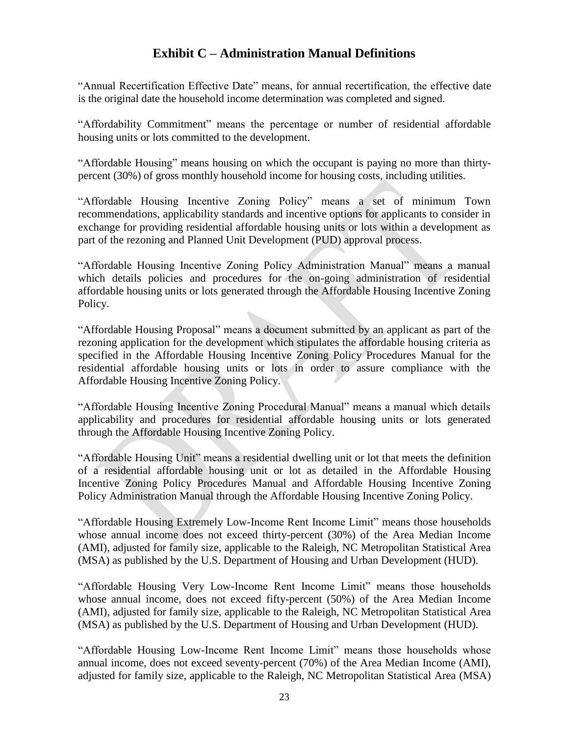# **Exhibit C – Administration Manual Definitions**

<span id="page-21-0"></span>"Annual Recertification Effective Date" means, for annual recertification, the effective date is the original date the household income determination was completed and signed.

"Affordability Commitment" means the percentage or number of residential affordable housing units or lots committed to the development.

"Affordable Housing" means housing on which the occupant is paying no more than thirtypercent (30%) of gross monthly household income for housing costs, including utilities.

"Affordable Housing Incentive Zoning Policy" means a set of minimum Town recommendations, applicability standards and incentive options for applicants to consider in exchange for providing residential affordable housing units or lots within a development as part of the rezoning and Planned Unit Development (PUD) approval process.

"Affordable Housing Incentive Zoning Policy Administration Manual" means a manual which details policies and procedures for the on-going administration of residential affordable housing units or lots generated through the Affordable Housing Incentive Zoning Policy.

"Affordable Housing Proposal" means a document submitted by an applicant as part of the rezoning application for the development which stipulates the affordable housing criteria as specified in the Affordable Housing Incentive Zoning Policy Procedures Manual for the residential affordable housing units or lots in order to assure compliance with the Affordable Housing Incentive Zoning Policy.

"Affordable Housing Incentive Zoning Procedural Manual" means a manual which details applicability and procedures for residential affordable housing units or lots generated through the Affordable Housing Incentive Zoning Policy.

"Affordable Housing Unit" means a residential dwelling unit or lot that meets the definition of a residential affordable housing unit or lot as detailed in the Affordable Housing Incentive Zoning Policy Procedures Manual and Affordable Housing Incentive Zoning Policy Administration Manual through the Affordable Housing Incentive Zoning Policy.

"Affordable Housing Extremely Low-Income Rent Income Limit" means those households whose annual income does not exceed thirty-percent (30%) of the Area Median Income (AMI), adjusted for family size, applicable to the Raleigh, NC Metropolitan Statistical Area (MSA) as published by the U.S. Department of Housing and Urban Development (HUD).

"Affordable Housing Very Low-Income Rent Income Limit" means those households whose annual income, does not exceed fifty-percent (50%) of the Area Median Income (AMI), adjusted for family size, applicable to the Raleigh, NC Metropolitan Statistical Area (MSA) as published by the U.S. Department of Housing and Urban Development (HUD).

"Affordable Housing Low-Income Rent Income Limit" means those households whose annual income, does not exceed seventy-percent (70%) of the Area Median Income (AMI), adjusted for family size, applicable to the Raleigh, NC Metropolitan Statistical Area (MSA)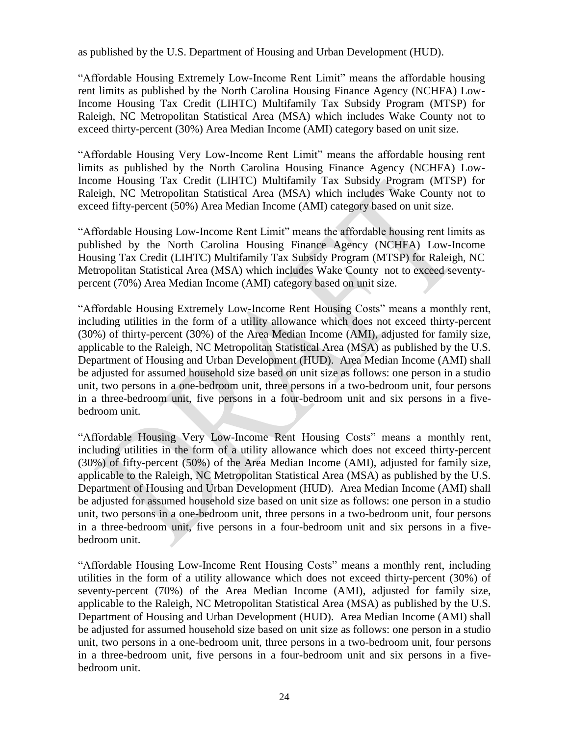as published by the U.S. Department of Housing and Urban Development (HUD).

"Affordable Housing Extremely Low-Income Rent Limit" means the affordable housing rent limits as published by the North Carolina Housing Finance Agency (NCHFA) Low-Income Housing Tax Credit (LIHTC) Multifamily Tax Subsidy Program (MTSP) for Raleigh, NC Metropolitan Statistical Area (MSA) which includes Wake County not to exceed thirty-percent (30%) Area Median Income (AMI) category based on unit size.

"Affordable Housing Very Low-Income Rent Limit" means the affordable housing rent limits as published by the North Carolina Housing Finance Agency (NCHFA) Low-Income Housing Tax Credit (LIHTC) Multifamily Tax Subsidy Program (MTSP) for Raleigh, NC Metropolitan Statistical Area (MSA) which includes Wake County not to exceed fifty-percent (50%) Area Median Income (AMI) category based on unit size.

"Affordable Housing Low-Income Rent Limit" means the affordable housing rent limits as published by the North Carolina Housing Finance Agency (NCHFA) Low-Income Housing Tax Credit (LIHTC) Multifamily Tax Subsidy Program (MTSP) for Raleigh, NC Metropolitan Statistical Area (MSA) which includes Wake County not to exceed seventypercent (70%) Area Median Income (AMI) category based on unit size.

"Affordable Housing Extremely Low-Income Rent Housing Costs" means a monthly rent, including utilities in the form of a utility allowance which does not exceed thirty-percent (30%) of thirty-percent (30%) of the Area Median Income (AMI), adjusted for family size, applicable to the Raleigh, NC Metropolitan Statistical Area (MSA) as published by the U.S. Department of Housing and Urban Development (HUD). Area Median Income (AMI) shall be adjusted for assumed household size based on unit size as follows: one person in a studio unit, two persons in a one-bedroom unit, three persons in a two-bedroom unit, four persons in a three-bedroom unit, five persons in a four-bedroom unit and six persons in a fivebedroom unit.

"Affordable Housing Very Low-Income Rent Housing Costs" means a monthly rent, including utilities in the form of a utility allowance which does not exceed thirty-percent (30%) of fifty-percent (50%) of the Area Median Income (AMI), adjusted for family size, applicable to the Raleigh, NC Metropolitan Statistical Area (MSA) as published by the U.S. Department of Housing and Urban Development (HUD). Area Median Income (AMI) shall be adjusted for assumed household size based on unit size as follows: one person in a studio unit, two persons in a one-bedroom unit, three persons in a two-bedroom unit, four persons in a three-bedroom unit, five persons in a four-bedroom unit and six persons in a fivebedroom unit.

"Affordable Housing Low-Income Rent Housing Costs" means a monthly rent, including utilities in the form of a utility allowance which does not exceed thirty-percent (30%) of seventy-percent (70%) of the Area Median Income (AMI), adjusted for family size, applicable to the Raleigh, NC Metropolitan Statistical Area (MSA) as published by the U.S. Department of Housing and Urban Development (HUD). Area Median Income (AMI) shall be adjusted for assumed household size based on unit size as follows: one person in a studio unit, two persons in a one-bedroom unit, three persons in a two-bedroom unit, four persons in a three-bedroom unit, five persons in a four-bedroom unit and six persons in a fivebedroom unit.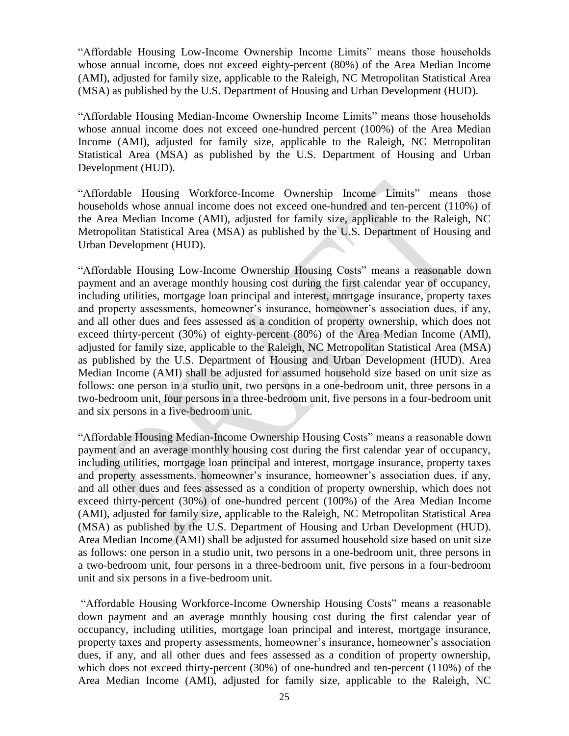"Affordable Housing Low-Income Ownership Income Limits" means those households whose annual income, does not exceed eighty-percent (80%) of the Area Median Income (AMI), adjusted for family size, applicable to the Raleigh, NC Metropolitan Statistical Area (MSA) as published by the U.S. Department of Housing and Urban Development (HUD).

"Affordable Housing Median-Income Ownership Income Limits" means those households whose annual income does not exceed one-hundred percent (100%) of the Area Median Income (AMI), adjusted for family size, applicable to the Raleigh, NC Metropolitan Statistical Area (MSA) as published by the U.S. Department of Housing and Urban Development (HUD).

"Affordable Housing Workforce-Income Ownership Income Limits" means those households whose annual income does not exceed one-hundred and ten-percent (110%) of the Area Median Income (AMI), adjusted for family size, applicable to the Raleigh, NC Metropolitan Statistical Area (MSA) as published by the U.S. Department of Housing and Urban Development (HUD).

"Affordable Housing Low-Income Ownership Housing Costs" means a reasonable down payment and an average monthly housing cost during the first calendar year of occupancy, including utilities, mortgage loan principal and interest, mortgage insurance, property taxes and property assessments, homeowner's insurance, homeowner's association dues, if any, and all other dues and fees assessed as a condition of property ownership, which does not exceed thirty-percent (30%) of eighty-percent (80%) of the Area Median Income (AMI), adjusted for family size, applicable to the Raleigh, NC Metropolitan Statistical Area (MSA) as published by the U.S. Department of Housing and Urban Development (HUD). Area Median Income (AMI) shall be adjusted for assumed household size based on unit size as follows: one person in a studio unit, two persons in a one-bedroom unit, three persons in a two-bedroom unit, four persons in a three-bedroom unit, five persons in a four-bedroom unit and six persons in a five-bedroom unit.

"Affordable Housing Median-Income Ownership Housing Costs" means a reasonable down payment and an average monthly housing cost during the first calendar year of occupancy, including utilities, mortgage loan principal and interest, mortgage insurance, property taxes and property assessments, homeowner's insurance, homeowner's association dues, if any, and all other dues and fees assessed as a condition of property ownership, which does not exceed thirty-percent (30%) of one-hundred percent (100%) of the Area Median Income (AMI), adjusted for family size, applicable to the Raleigh, NC Metropolitan Statistical Area (MSA) as published by the U.S. Department of Housing and Urban Development (HUD). Area Median Income (AMI) shall be adjusted for assumed household size based on unit size as follows: one person in a studio unit, two persons in a one-bedroom unit, three persons in a two-bedroom unit, four persons in a three-bedroom unit, five persons in a four-bedroom unit and six persons in a five-bedroom unit.

"Affordable Housing Workforce-Income Ownership Housing Costs" means a reasonable down payment and an average monthly housing cost during the first calendar year of occupancy, including utilities, mortgage loan principal and interest, mortgage insurance, property taxes and property assessments, homeowner's insurance, homeowner's association dues, if any, and all other dues and fees assessed as a condition of property ownership, which does not exceed thirty-percent (30%) of one-hundred and ten-percent (110%) of the Area Median Income (AMI), adjusted for family size, applicable to the Raleigh, NC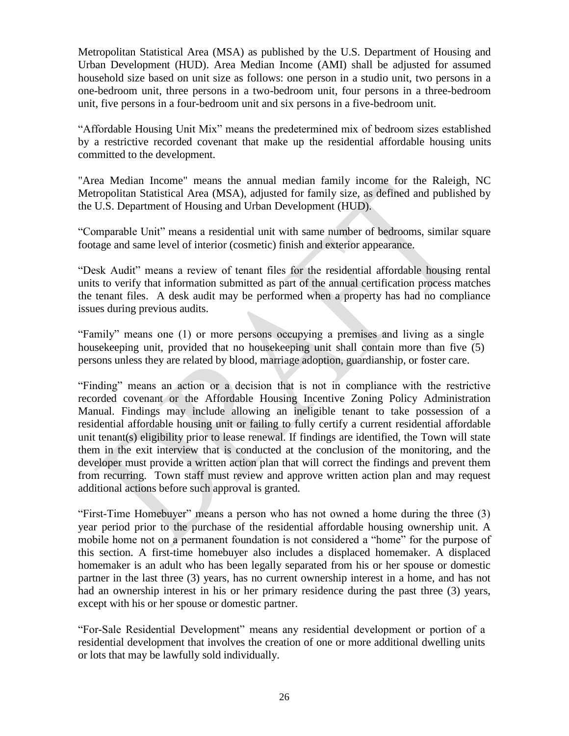Metropolitan Statistical Area (MSA) as published by the U.S. Department of Housing and Urban Development (HUD). Area Median Income (AMI) shall be adjusted for assumed household size based on unit size as follows: one person in a studio unit, two persons in a one-bedroom unit, three persons in a two-bedroom unit, four persons in a three-bedroom unit, five persons in a four-bedroom unit and six persons in a five-bedroom unit.

"Affordable Housing Unit Mix" means the predetermined mix of bedroom sizes established by a restrictive recorded covenant that make up the residential affordable housing units committed to the development.

"Area Median Income" means the annual median family income for the Raleigh, NC Metropolitan Statistical Area (MSA), adjusted for family size, as defined and published by the U.S. Department of Housing and Urban Development (HUD).

"Comparable Unit" means a residential unit with same number of bedrooms, similar square footage and same level of interior (cosmetic) finish and exterior appearance.

"Desk Audit" means a review of tenant files for the residential affordable housing rental units to verify that information submitted as part of the annual certification process matches the tenant files. A desk audit may be performed when a property has had no compliance issues during previous audits.

"Family" means one (1) or more persons occupying a premises and living as a single housekeeping unit, provided that no housekeeping unit shall contain more than five (5) persons unless they are related by blood, marriage adoption, guardianship, or foster care.

"Finding" means an action or a decision that is not in compliance with the restrictive recorded covenant or the Affordable Housing Incentive Zoning Policy Administration Manual. Findings may include allowing an ineligible tenant to take possession of a residential affordable housing unit or failing to fully certify a current residential affordable unit tenant(s) eligibility prior to lease renewal. If findings are identified, the Town will state them in the exit interview that is conducted at the conclusion of the monitoring, and the developer must provide a written action plan that will correct the findings and prevent them from recurring. Town staff must review and approve written action plan and may request additional actions before such approval is granted.

"First-Time Homebuyer" means a person who has not owned a home during the three (3) year period prior to the purchase of the residential affordable housing ownership unit. A mobile home not on a permanent foundation is not considered a "home" for the purpose of this section. A first-time homebuyer also includes a displaced homemaker. A displaced homemaker is an adult who has been legally separated from his or her spouse or domestic partner in the last three (3) years, has no current ownership interest in a home, and has not had an ownership interest in his or her primary residence during the past three (3) years, except with his or her spouse or domestic partner.

"For-Sale Residential Development" means any residential development or portion of a residential development that involves the creation of one or more additional dwelling units or lots that may be lawfully sold individually.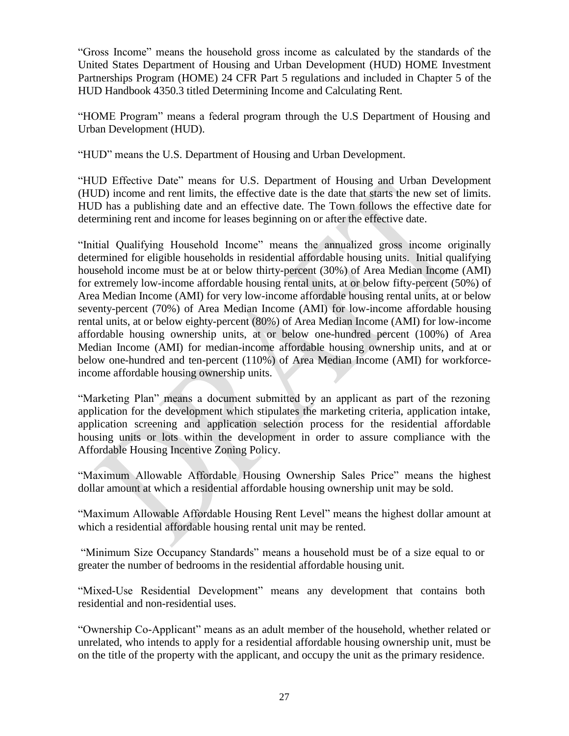"Gross Income" means the household gross income as calculated by the standards of the United States Department of Housing and Urban Development (HUD) HOME Investment Partnerships Program (HOME) 24 CFR Part 5 regulations and included in Chapter 5 of the HUD Handbook 4350.3 titled Determining Income and Calculating Rent.

"HOME Program" means a federal program through the U.S Department of Housing and Urban Development (HUD).

"HUD" means the U.S. Department of Housing and Urban Development.

"HUD Effective Date" means for U.S. Department of Housing and Urban Development (HUD) income and rent limits, the effective date is the date that starts the new set of limits. HUD has a publishing date and an effective date. The Town follows the effective date for determining rent and income for leases beginning on or after the effective date.

"Initial Qualifying Household Income" means the annualized gross income originally determined for eligible households in residential affordable housing units. Initial qualifying household income must be at or below thirty-percent (30%) of Area Median Income (AMI) for extremely low-income affordable housing rental units, at or below fifty-percent (50%) of Area Median Income (AMI) for very low-income affordable housing rental units, at or below seventy-percent (70%) of Area Median Income (AMI) for low-income affordable housing rental units, at or below eighty-percent (80%) of Area Median Income (AMI) for low-income affordable housing ownership units, at or below one-hundred percent (100%) of Area Median Income (AMI) for median-income affordable housing ownership units, and at or below one-hundred and ten-percent (110%) of Area Median Income (AMI) for workforceincome affordable housing ownership units.

"Marketing Plan" means a document submitted by an applicant as part of the rezoning application for the development which stipulates the marketing criteria, application intake, application screening and application selection process for the residential affordable housing units or lots within the development in order to assure compliance with the Affordable Housing Incentive Zoning Policy.

"Maximum Allowable Affordable Housing Ownership Sales Price" means the highest dollar amount at which a residential affordable housing ownership unit may be sold.

"Maximum Allowable Affordable Housing Rent Level" means the highest dollar amount at which a residential affordable housing rental unit may be rented.

"Minimum Size Occupancy Standards" means a household must be of a size equal to or greater the number of bedrooms in the residential affordable housing unit.

"Mixed-Use Residential Development" means any development that contains both residential and non-residential uses.

"Ownership Co-Applicant" means as an adult member of the household, whether related or unrelated, who intends to apply for a residential affordable housing ownership unit, must be on the title of the property with the applicant, and occupy the unit as the primary residence.